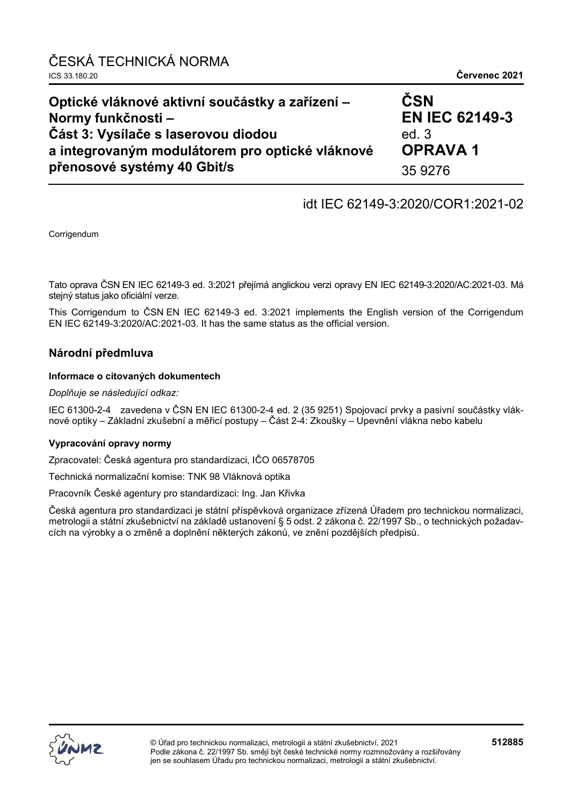| <u>ULUIVA TEULINUIVA INUTNIMA</u><br>ICS 33.180.20                                                                                                              | Červenec 2021                                             |
|-----------------------------------------------------------------------------------------------------------------------------------------------------------------|-----------------------------------------------------------|
| Optické vláknové aktivní součástky a zařízení -<br>Normy funkčnosti -<br>Část 3: Vysílače s laserovou diodou<br>a integrovaným modulátorem pro optické vláknové | ČSN<br><b>EN IEC 62149-3</b><br>ed. $3$<br><b>OPRAVA1</b> |
| přenosové systémy 40 Gbit/s                                                                                                                                     | 35 9276                                                   |

## idt IEC 62149-3:2020/COR1:2021-02

Corrigendum

Tato oprava ČSN EN IEC 62149-3 ed. 3:2021 přejímá anglickou verzi opravy EN IEC 62149-3:2020/AC:2021-03. Má stejný status jako oficiální verze.

This Corrigendum to ČSN EN IEC 62149-3 ed. 3:2021 implements the English version of the Corrigendum EN IEC 62149-3:2020/AC:2021-03. It has the same status as the official version.

#### **Národní předmluva**

#### **Informace o citovaných dokumentech**

ČESKÁ TECHNICKÁ NORMA

*Doplňuje se následující odkaz:*

IEC 61300-2-4 zavedena v ČSN EN IEC 61300-2-4 ed. 2 (35 9251) Spojovací prvky a pasivní součástky vláknové optiky – Základní zkušební a měřicí postupy – Část 2-4: Zkoušky – Upevnění vlákna nebo kabelu

#### **Vypracování opravy normy**

Zpracovatel: Česká agentura pro standardizaci, IČO 06578705

Technická normalizační komise: TNK 98 Vláknová optika

Pracovník České agentury pro standardizaci: Ing. Jan Křivka

Česká agentura pro standardizaci je státní příspěvková organizace zřízená Úřadem pro technickou normalizaci, metrologii a státní zkušebnictví na základě ustanovení § 5 odst. 2 zákona č. 22/1997 Sb., o technických požadavcích na výrobky a o změně a doplnění některých zákonů, ve znění pozdějších předpisů.

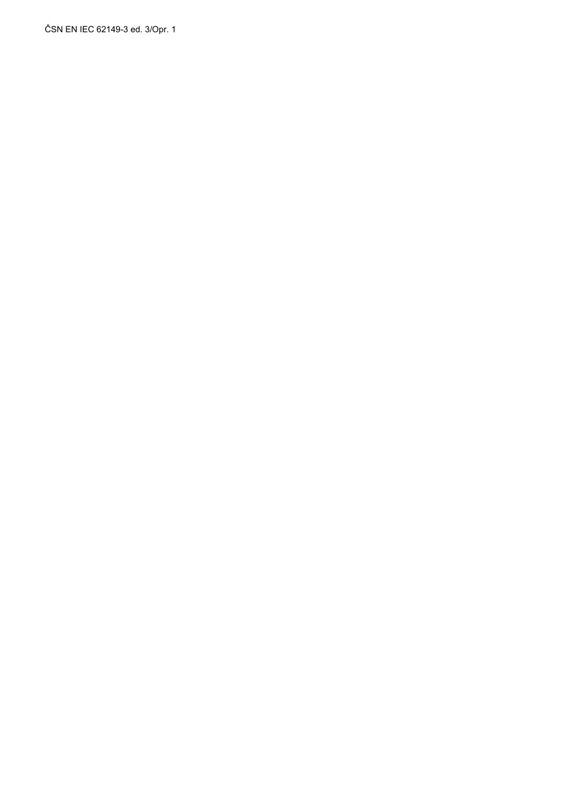ČSN EN IEC 62149-3 ed. 3/Opr. 1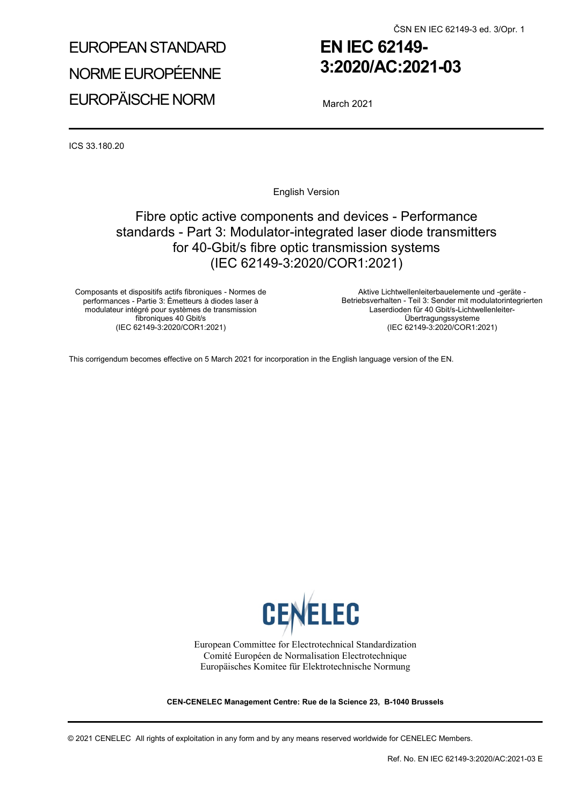# EUROPEAN STANDARD NORME EUROPÉENNE EUROPÄISCHE NORM

## **EN IEC 62149- 3:2020/AC:2021-03**

March 2021

ICS 33.180.20

English Version

## Fibre optic active components and devices - Performance standards - Part 3: Modulator-integrated laser diode transmitters for 40-Gbit/s fibre optic transmission systems (IEC 62149-3:2020/COR1:2021)

Composants et dispositifs actifs fibroniques - Normes de performances - Partie 3: Émetteurs à diodes laser à modulateur intégré pour systèmes de transmission fibroniques 40 Gbit/s (IEC 62149-3:2020/COR1:2021)

 Aktive Lichtwellenleiterbauelemente und -geräte - Betriebsverhalten - Teil 3: Sender mit modulatorintegrierten Laserdioden für 40 Gbit/s-Lichtwellenleiter-Übertragungssysteme (IEC 62149-3:2020/COR1:2021)

This corrigendum becomes effective on 5 March 2021 for incorporation in the English language version of the EN.



European Committee for Electrotechnical Standardization Comité Européen de Normalisation Electrotechnique Europäisches Komitee für Elektrotechnische Normung

**CEN-CENELEC Management Centre: Rue de la Science 23, B-1040 Brussels** 

© 2021 CENELEC All rights of exploitation in any form and by any means reserved worldwide for CENELEC Members.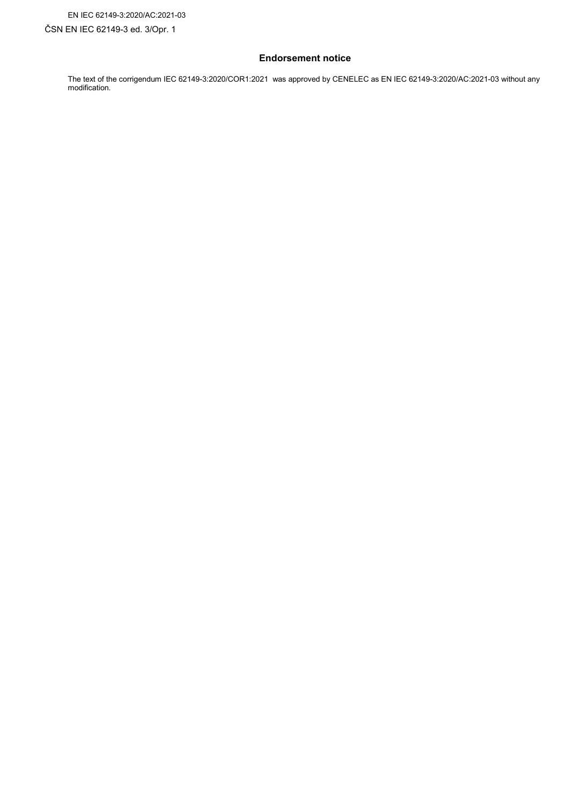EN IEC 62149-3:2020/AC:2021-03

ČSN EN IEC 62149-3 ed. 3/Opr. 1

#### **Endorsement notice**

The text of the corrigendum IEC 62149-3:2020/COR1:2021 was approved by CENELEC as EN IEC 62149-3:2020/AC:2021-03 without any modification.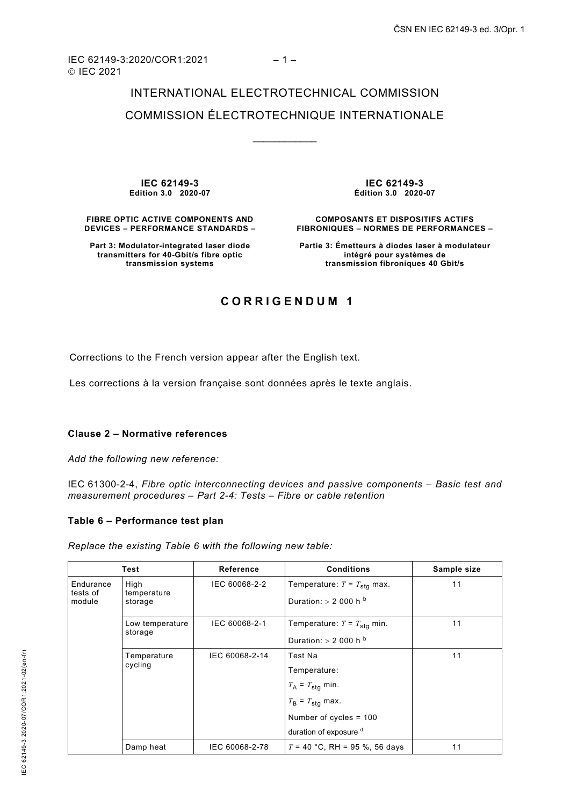IEC 62149-3:2020/COR1:2021 – 1 – © IEC 2021

## INTERNATIONAL ELECTROTECHNICAL COMMISSION COMMISSION ÉLECTROTECHNIQUE INTERNATIONALE

\_\_\_\_\_\_\_\_\_\_\_\_

**IEC 62149-3 Edition 3.0 2020-07**

**FIBRE OPTIC ACTIVE COMPONENTS AND DEVICES – PERFORMANCE STANDARDS –** 

**Part 3: Modulator-integrated laser diode transmitters for 40-Gbit/s fibre optic transmission systems**

**IEC 62149-3 Édition 3.0 2020-07**

**COMPOSANTS ET DISPOSITIFS ACTIFS FIBRONIQUES – NORMES DE PERFORMANCES –** 

**Partie 3: Émetteurs à diodes laser à modulateur intégré pour systèmes de transmission fibroniques 40 Gbit/s**

### **CORRIGENDUM 1**

Corrections to the French version appear after the English text.

Les corrections à la version française sont données après le texte anglais.

#### **Clause 2 – Normative references**

*Add the following new reference:*

IEC 61300-2-4, *Fibre optic interconnecting devices and passive components – Basic test and measurement procedures – Part 2-4: Tests – Fibre or cable retention*

#### **Table 6 – Performance test plan**

*Replace the existing Table 6 with the following new table:* 

|                                                    | Test                   | <b>Reference</b> | <b>Conditions</b>                      | Sample size |
|----------------------------------------------------|------------------------|------------------|----------------------------------------|-------------|
| High<br>Endurance<br>tests of<br>module<br>storage | temperature            | IEC 60068-2-2    | Temperature: $T = T_{\text{sta}}$ max. | 11          |
|                                                    | storage                |                  | Duration: $> 2000$ h $^{\text{b}}$     |             |
|                                                    | Low temperature        | IEC 60068-2-1    | Temperature: $T = T_{\text{sta}}$ min. | 11          |
|                                                    |                        |                  | Duration: $> 2000$ h $^{\rm b}$        |             |
|                                                    | Temperature<br>cycling | IEC 60068-2-14   | Test Na                                | 11          |
|                                                    |                        |                  | Temperature:                           |             |
|                                                    |                        |                  | $T_A = T_{\text{stq}}$ min.            |             |
|                                                    |                        |                  | $T_{\rm B}$ = $T_{\rm stg}$ max.       |             |
|                                                    |                        |                  | Number of cycles $= 100$               |             |
|                                                    |                        |                  | duration of exposure d                 |             |
|                                                    | Damp heat              | IEC 60068-2-78   | $T = 40$ °C, RH = 95 %, 56 days        | 11          |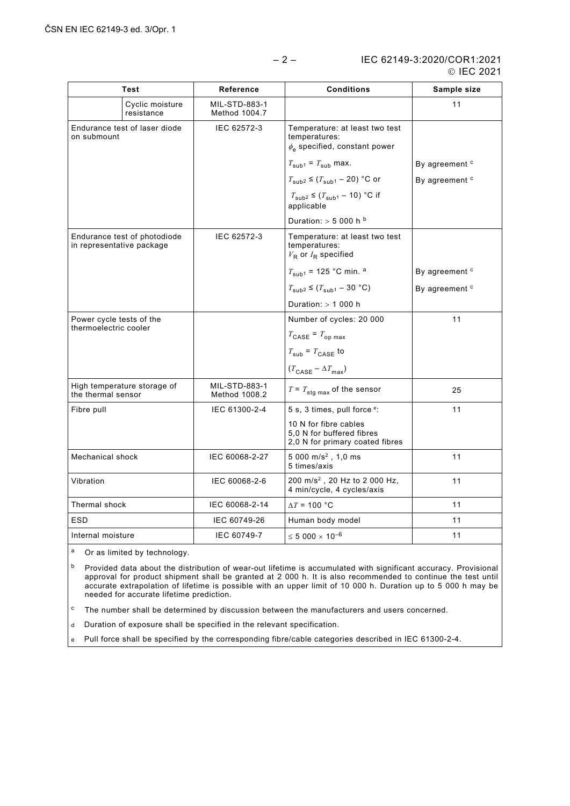#### – 2 – IEC 62149-3:2020/COR1:2021 © IEC 2021

| Test                                                      |                               | Reference                      | <b>Conditions</b>                                                                                | Sample size               |
|-----------------------------------------------------------|-------------------------------|--------------------------------|--------------------------------------------------------------------------------------------------|---------------------------|
|                                                           | Cyclic moisture<br>resistance | MIL-STD-883-1<br>Method 1004.7 |                                                                                                  | 11                        |
| Endurance test of laser diode<br>on submount              |                               | IEC 62572-3                    | Temperature: at least two test<br>temperatures:<br>$\phi$ <sub>e</sub> specified, constant power |                           |
|                                                           |                               |                                | $T_{sub1} = T_{sub}$ max.                                                                        | By agreement <sup>c</sup> |
|                                                           |                               |                                | $T_{sub2}$ ≤ ( $T_{sub1}$ – 20) °C or                                                            | By agreement <sup>c</sup> |
|                                                           |                               |                                | $T_{\text{sub2}}$ ≤ $(T_{\text{sub1}} - 10)$ °C if<br>applicable                                 |                           |
|                                                           |                               |                                | Duration: $>$ 5 000 h $b$                                                                        |                           |
| Endurance test of photodiode<br>in representative package |                               | IEC 62572-3                    | Temperature: at least two test<br>temperatures:<br>$V_R$ or $I_R$ specified                      |                           |
|                                                           |                               |                                | $T_{\text{sub1}}$ = 125 °C min. <sup>a</sup>                                                     | By agreement <sup>c</sup> |
|                                                           |                               |                                | $T_{\text{sub2}} \le (T_{\text{sub1}} - 30$ °C)                                                  | By agreement <sup>c</sup> |
|                                                           |                               |                                | Duration: $> 1000$ h                                                                             |                           |
| Power cycle tests of the<br>thermoelectric cooler         |                               |                                | Number of cycles: 20 000                                                                         | 11                        |
|                                                           |                               |                                | $T_{\text{CASE}} = T_{\text{op max}}$                                                            |                           |
|                                                           |                               |                                | $T_{sub} = T_{CASE}$ to                                                                          |                           |
|                                                           |                               |                                | $(T_{\text{CASE}} - \Delta T_{\text{max}})$                                                      |                           |
| the thermal sensor                                        | High temperature storage of   | MIL-STD-883-1<br>Method 1008.2 | $T = T_{\text{sta max}}$ of the sensor                                                           | 25                        |
| Fibre pull                                                |                               | IEC 61300-2-4                  | 5 s, 3 times, pull force <sup>e</sup> :                                                          | 11                        |
|                                                           |                               |                                | 10 N for fibre cables<br>5.0 N for buffered fibres<br>2,0 N for primary coated fibres            |                           |
| Mechanical shock                                          |                               | IEC 60068-2-27                 | $5000$ m/s <sup>2</sup> , 1,0 ms<br>5 times/axis                                                 | 11                        |
| Vibration                                                 |                               | IEC 60068-2-6                  | 200 m/s <sup>2</sup> , 20 Hz to 2 000 Hz,<br>4 min/cycle, 4 cycles/axis                          | 11                        |
| Thermal shock                                             |                               | IEC 60068-2-14                 | $\Delta T = 100$ °C                                                                              | 11                        |
| ESD                                                       |                               | IEC 60749-26                   | Human body model                                                                                 | 11                        |
| Internal moisture                                         |                               | IEC 60749-7                    | $\leq 5000 \times 10^{-6}$                                                                       | 11                        |

a Or as limited by technology.

b Provided data about the distribution of wear-out lifetime is accumulated with significant accuracy. Provisional approval for product shipment shall be granted at 2 000 h. It is also recommended to continue the test until accurate extrapolation of lifetime is possible with an upper limit of 10 000 h. Duration up to 5 000 h may be needed for accurate lifetime prediction.

<sup>c</sup> The number shall be determined by discussion between the manufacturers and users concerned.

d Duration of exposure shall be specified in the relevant specification.

e Pull force shall be specified by the corresponding fibre/cable categories described in IEC 61300-2-4.